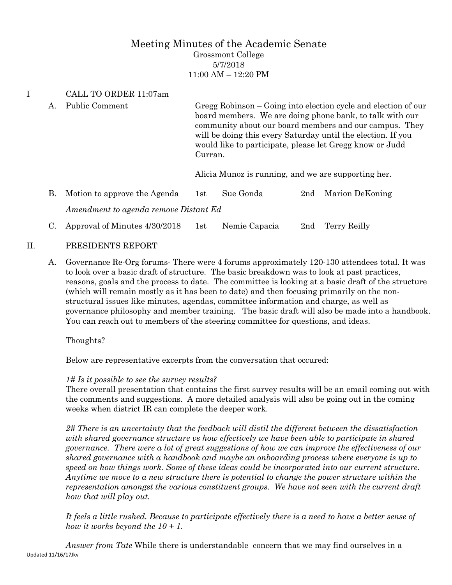# Meeting Minutes of the Academic Senate Grossmont College 5/7/2018 11:00 AM – 12:20 PM

## I CALL TO ORDER 11:07am

- A. Public Comment Gregg Robinson Going into election cycle and election of our board members. We are doing phone bank, to talk with our community about our board members and our campus. They will be doing this every Saturday until the election. If you would like to participate, please let Gregg know or Judd Curran. Alicia Munoz is running, and we are supporting her.
- B. Motion to approve the Agenda 1st Sue Gonda 2nd Marion DeKoning *Amendment to agenda remove Distant Ed*
- C. Approval of Minutes 4/30/2018 1st Nemie Capacia 2nd Terry Reilly
- II. PRESIDENTS REPORT
	- A. Governance Re-Org forums- There were 4 forums approximately 120-130 attendees total. It was to look over a basic draft of structure. The basic breakdown was to look at past practices, reasons, goals and the process to date. The committee is looking at a basic draft of the structure (which will remain mostly as it has been to date) and then focusing primarily on the nonstructural issues like minutes, agendas, committee information and charge, as well as governance philosophy and member training. The basic draft will also be made into a handbook. You can reach out to members of the steering committee for questions, and ideas.

Thoughts?

Below are representative excerpts from the conversation that occured:

## *1# Is it possible to see the survey results?*

There overall presentation that contains the first survey results will be an email coming out with the comments and suggestions. A more detailed analysis will also be going out in the coming weeks when district IR can complete the deeper work.

*2# There is an uncertainty that the feedback will distil the different between the dissatisfaction with shared governance structure vs how effectively we have been able to participate in shared governance. There were a lot of great suggestions of how we can improve the effectiveness of our shared governance with a handbook and maybe an onboarding process where everyone is up to speed on how things work. Some of these ideas could be incorporated into our current structure. Anytime we move to a new structure there is potential to change the power structure within the representation amongst the various constituent groups. We have not seen with the current draft how that will play out.*

*It feels a little rushed. Because to participate effectively there is a need to have a better sense of how it works beyond the 10 + 1.*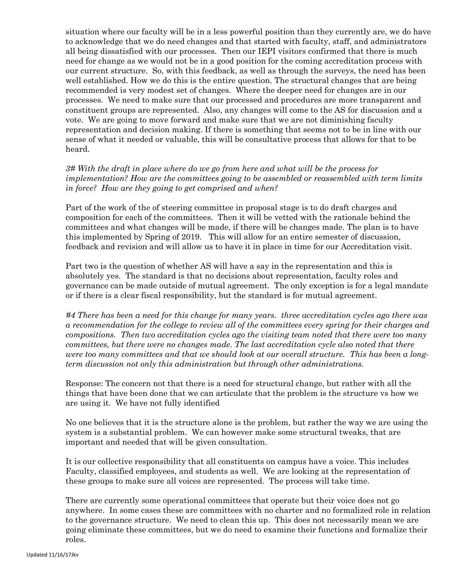situation where our faculty will be in a less powerful position than they currently are, we do have to acknowledge that we do need changes and that started with faculty, staff, and administrators all being dissatisfied with our processes. Then our IEPI visitors confirmed that there is much need for change as we would not be in a good position for the coming accreditation process with our current structure. So, with this feedback, as well as through the surveys, the need has been well established. How we do this is the entire question. The structural changes that are being recommended is very modest set of changes. Where the deeper need for changes are in our processes. We need to make sure that our processed and procedures are more transparent and constituent groups are represented. Also, any changes will come to the AS for discussion and a vote. We are going to move forward and make sure that we are not diminishing faculty representation and decision making. If there is something that seems not to be in line with our sense of what it needed or valuable, this will be consultative process that allows for that to be heard.

*3# With the draft in place where do we go from here and what will be the process for implementation? How are the committees going to be assembled or reassembled with term limits in force? How are they going to get comprised and when?*

Part of the work of the of steering committee in proposal stage is to do draft charges and composition for each of the committees. Then it will be vetted with the rationale behind the committees and what changes will be made, if there will be changes made. The plan is to have this implemented by Spring of 2019. This will allow for an entire semester of discussion, feedback and revision and will allow us to have it in place in time for our Accreditation visit.

Part two is the question of whether AS will have a say in the representation and this is absolutely yes. The standard is that no decisions about representation, faculty roles and governance can be made outside of mutual agreement. The only exception is for a legal mandate or if there is a clear fiscal responsibility, but the standard is for mutual agreement.

*#4 There has been a need for this change for many years. three accreditation cycles ago there was a recommendation for the college to review all of the committees every spring for their charges and compositions. Then two accreditation cycles ago the visiting team noted that there were too many committees, but there were no changes made. The last accreditation cycle also noted that there were too many committees and that we should look at our overall structure. This has been a longterm discussion not only this administration but through other administrations.*

Response: The concern not that there is a need for structural change, but rather with all the things that have been done that we can articulate that the problem is the structure vs how we are using it. We have not fully identified

No one believes that it is the structure alone is the problem, but rather the way we are using the system is a substantial problem. We can however make some structural tweaks, that are important and needed that will be given consultation.

It is our collective responsibility that all constituents on campus have a voice. This includes Faculty, classified employees, and students as well. We are looking at the representation of these groups to make sure all voices are represented. The process will take time.

There are currently some operational committees that operate but their voice does not go anywhere. In some cases these are committees with no charter and no formalized role in relation to the governance structure. We need to clean this up. This does not necessarily mean we are going eliminate these committees, but we do need to examine their functions and formalize their roles.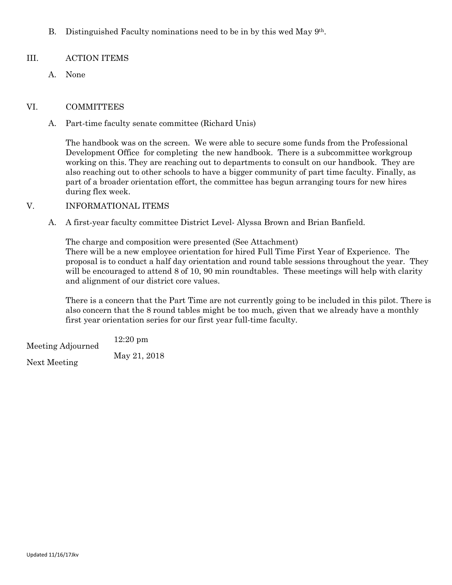B. Distinguished Faculty nominations need to be in by this wed May 9th.

### III. ACTION ITEMS

A. None

#### VI. COMMITTEES

A. Part-time faculty senate committee (Richard Unis)

The handbook was on the screen. We were able to secure some funds from the Professional Development Office for completing the new handbook. There is a subcommittee workgroup working on this. They are reaching out to departments to consult on our handbook. They are also reaching out to other schools to have a bigger community of part time faculty. Finally, as part of a broader orientation effort, the committee has begun arranging tours for new hires during flex week.

#### V. INFORMATIONAL ITEMS

A. A first-year faculty committee District Level- Alyssa Brown and Brian Banfield.

The charge and composition were presented (See Attachment) There will be a new employee orientation for hired Full Time First Year of Experience. The proposal is to conduct a half day orientation and round table sessions throughout the year. They will be encouraged to attend 8 of 10, 90 min roundtables. These meetings will help with clarity and alignment of our district core values.

There is a concern that the Part Time are not currently going to be included in this pilot. There is also concern that the 8 round tables might be too much, given that we already have a monthly first year orientation series for our first year full-time faculty.

Meeting Adjourned 12:20 pm Next Meeting May 21, 2018